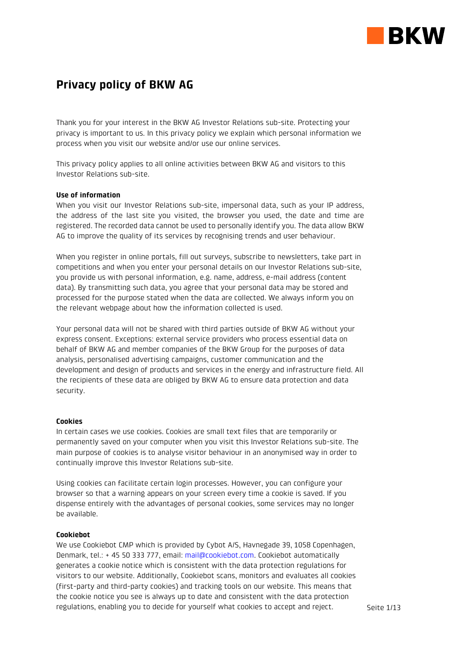

# Privacy policy of BKW AG

Thank you for your interest in the BKW AG Investor Relations sub-site. Protecting your privacy is important to us. In this privacy policy we explain which personal information we process when you visit our website and/or use our online services.

This privacy policy applies to all online activities between BKW AG and visitors to this Investor Relations sub-site.

# Use of information

When you visit our Investor Relations sub-site, impersonal data, such as your IP address, the address of the last site you visited, the browser you used, the date and time are registered. The recorded data cannot be used to personally identify you. The data allow BKW AG to improve the quality of its services by recognising trends and user behaviour.

When you register in online portals, fill out surveys, subscribe to newsletters, take part in competitions and when you enter your personal details on our Investor Relations sub-site, you provide us with personal information, e.g. name, address, e-mail address (content data). By transmitting such data, you agree that your personal data may be stored and processed for the purpose stated when the data are collected. We always inform you on the relevant webpage about how the information collected is used.

Your personal data will not be shared with third parties outside of BKW AG without your express consent. Exceptions: external service providers who process essential data on behalf of BKW AG and member companies of the BKW Group for the purposes of data analysis, personalised advertising campaigns, customer communication and the development and design of products and services in the energy and infrastructure field. All the recipients of these data are obliged by BKW AG to ensure data protection and data security.

### **Cookies**

In certain cases we use cookies. Cookies are small text files that are temporarily or permanently saved on your computer when you visit this Investor Relations sub-site. The main purpose of cookies is to analyse visitor behaviour in an anonymised way in order to continually improve this Investor Relations sub-site.

Using cookies can facilitate certain login processes. However, you can configure your browser so that a warning appears on your screen every time a cookie is saved. If you dispense entirely with the advantages of personal cookies, some services may no longer be available.

## Cookiebot

We use Cookiebot CMP which is provided by Cybot A/S, Havnegade 39, 1058 Copenhagen, Denmark, tel.: + 45 50 333 777, email: mail@cookiebot.com. Cookiebot automatically generates a cookie notice which is consistent with the data protection regulations for visitors to our website. Additionally, Cookiebot scans, monitors and evaluates all cookies (first-party and third-party cookies) and tracking tools on our website. This means that the cookie notice you see is always up to date and consistent with the data protection regulations, enabling you to decide for yourself what cookies to accept and reject.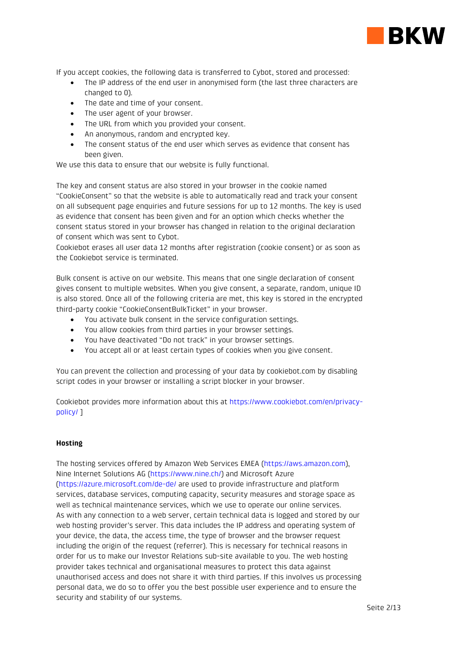

If you accept cookies, the following data is transferred to Cybot, stored and processed:

- The IP address of the end user in anonymised form (the last three characters are changed to 0).
- The date and time of your consent.
- The user agent of your browser.
- The URL from which you provided your consent.
- An anonymous, random and encrypted key.
- The consent status of the end user which serves as evidence that consent has been given.

We use this data to ensure that our website is fully functional.

The key and consent status are also stored in your browser in the cookie named "CookieConsent" so that the website is able to automatically read and track your consent on all subsequent page enquiries and future sessions for up to 12 months. The key is used as evidence that consent has been given and for an option which checks whether the consent status stored in your browser has changed in relation to the original declaration of consent which was sent to Cybot.

Cookiebot erases all user data 12 months after registration (cookie consent) or as soon as the Cookiebot service is terminated.

Bulk consent is active on our website. This means that one single declaration of consent gives consent to multiple websites. When you give consent, a separate, random, unique ID is also stored. Once all of the following criteria are met, this key is stored in the encrypted third-party cookie "CookieConsentBulkTicket" in your browser.

- You activate bulk consent in the service configuration settings.
- You allow cookies from third parties in your browser settings.
- You have deactivated "Do not track" in your browser settings.
- You accept all or at least certain types of cookies when you give consent.

You can prevent the collection and processing of your data by cookiebot.com by disabling script codes in your browser or installing a script blocker in your browser.

Cookiebot provides more information about this at https://www.cookiebot.com/en/privacypolicy/ ]

# **Hosting**

The hosting services offered by Amazon Web Services EMEA (https://aws.amazon.com), Nine Internet Solutions AG (https://www.nine.ch/) and Microsoft Azure (https://azure.microsoft.com/de-de/ are used to provide infrastructure and platform services, database services, computing capacity, security measures and storage space as well as technical maintenance services, which we use to operate our online services. As with any connection to a web server, certain technical data is logged and stored by our web hosting provider's server. This data includes the IP address and operating system of your device, the data, the access time, the type of browser and the browser request including the origin of the request (referrer). This is necessary for technical reasons in order for us to make our Investor Relations sub-site available to you. The web hosting provider takes technical and organisational measures to protect this data against unauthorised access and does not share it with third parties. If this involves us processing personal data, we do so to offer you the best possible user experience and to ensure the security and stability of our systems.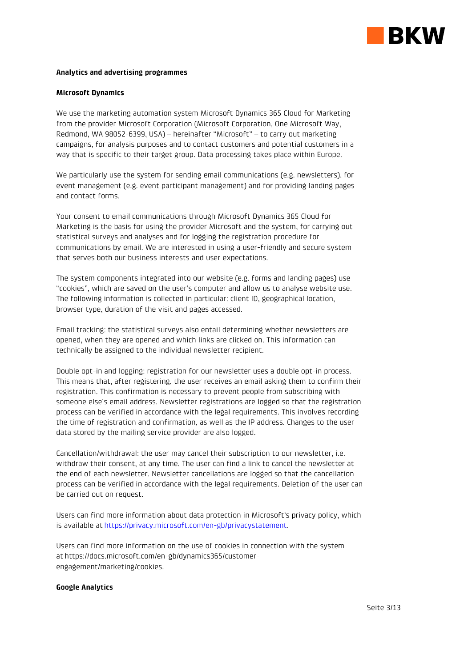

## Analytics and advertising programmes

#### Microsoft Dynamics

We use the marketing automation system Microsoft Dynamics 365 Cloud for Marketing from the provider Microsoft Corporation (Microsoft Corporation, One Microsoft Way, Redmond, WA 98052-6399, USA) – hereinafter "Microsoft" – to carry out marketing campaigns, for analysis purposes and to contact customers and potential customers in a way that is specific to their target group. Data processing takes place within Europe.

We particularly use the system for sending email communications (e.g. newsletters), for event management (e.g. event participant management) and for providing landing pages and contact forms.

Your consent to email communications through Microsoft Dynamics 365 Cloud for Marketing is the basis for using the provider Microsoft and the system, for carrying out statistical surveys and analyses and for logging the registration procedure for communications by email. We are interested in using a user-friendly and secure system that serves both our business interests and user expectations.

The system components integrated into our website (e.g. forms and landing pages) use "cookies", which are saved on the user's computer and allow us to analyse website use. The following information is collected in particular: client ID, geographical location, browser type, duration of the visit and pages accessed.

Email tracking: the statistical surveys also entail determining whether newsletters are opened, when they are opened and which links are clicked on. This information can technically be assigned to the individual newsletter recipient.

Double opt-in and logging: registration for our newsletter uses a double opt-in process. This means that, after registering, the user receives an email asking them to confirm their registration. This confirmation is necessary to prevent people from subscribing with someone else's email address. Newsletter registrations are logged so that the registration process can be verified in accordance with the legal requirements. This involves recording the time of registration and confirmation, as well as the IP address. Changes to the user data stored by the mailing service provider are also logged.

Cancellation/withdrawal: the user may cancel their subscription to our newsletter, i.e. withdraw their consent, at any time. The user can find a link to cancel the newsletter at the end of each newsletter. Newsletter cancellations are logged so that the cancellation process can be verified in accordance with the legal requirements. Deletion of the user can be carried out on request.

Users can find more information about data protection in Microsoft's privacy policy, which is available at https://privacy.microsoft.com/en-gb/privacystatement.

Users can find more information on the use of cookies in connection with the system at https://docs.microsoft.com/en-gb/dynamics365/customerengagement/marketing/cookies.

# Google Analytics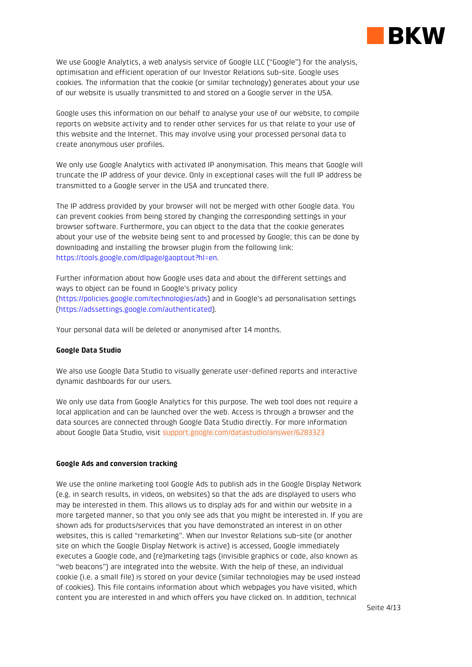

We use Google Analytics, a web analysis service of Google LLC ("Google") for the analysis, optimisation and efficient operation of our Investor Relations sub-site. Google uses cookies. The information that the cookie (or similar technology) generates about your use of our website is usually transmitted to and stored on a Google server in the USA.

Google uses this information on our behalf to analyse your use of our website, to compile reports on website activity and to render other services for us that relate to your use of this website and the Internet. This may involve using your processed personal data to create anonymous user profiles.

We only use Google Analytics with activated IP anonymisation. This means that Google will truncate the IP address of your device. Only in exceptional cases will the full IP address be transmitted to a Google server in the USA and truncated there.

The IP address provided by your browser will not be merged with other Google data. You can prevent cookies from being stored by changing the corresponding settings in your browser software. Furthermore, you can object to the data that the cookie generates about your use of the website being sent to and processed by Google; this can be done by downloading and installing the browser plugin from the following link: https://tools.google.com/dlpage/gaoptout?hl=en.

Further information about how Google uses data and about the different settings and ways to object can be found in Google's privacy policy (https://policies.google.com/technologies/ads) and in Google's ad personalisation settings (https://adssettings.google.com/authenticated).

Your personal data will be deleted or anonymised after 14 months.

# Google Data Studio

We also use Google Data Studio to visually generate user-defined reports and interactive dynamic dashboards for our users.

We only use data from Google Analytics for this purpose. The web tool does not require a local application and can be launched over the web. Access is through a browser and the data sources are connected through Google Data Studio directly. For more information about Google Data Studio, visit support.google.com/datastudio/answer/6283323

#### Google Ads and conversion tracking

We use the online marketing tool Google Ads to publish ads in the Google Display Network (e.g. in search results, in videos, on websites) so that the ads are displayed to users who may be interested in them. This allows us to display ads for and within our website in a more targeted manner, so that you only see ads that you might be interested in. If you are shown ads for products/services that you have demonstrated an interest in on other websites, this is called "remarketing". When our Investor Relations sub-site (or another site on which the Google Display Network is active) is accessed, Google immediately executes a Google code, and (re)marketing tags (invisible graphics or code, also known as "web beacons") are integrated into the website. With the help of these, an individual cookie (i.e. a small file) is stored on your device (similar technologies may be used instead of cookies). This file contains information about which webpages you have visited, which content you are interested in and which offers you have clicked on. In addition, technical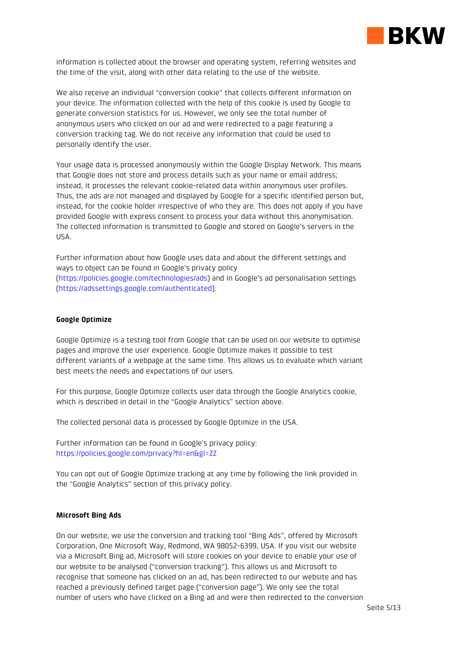

information is collected about the browser and operating system, referring websites and the time of the visit, along with other data relating to the use of the website.

We also receive an individual "conversion cookie" that collects different information on your device. The information collected with the help of this cookie is used by Google to generate conversion statistics for us. However, we only see the total number of anonymous users who clicked on our ad and were redirected to a page featuring a conversion tracking tag. We do not receive any information that could be used to personally identify the user.

Your usage data is processed anonymously within the Google Display Network. This means that Google does not store and process details such as your name or email address; instead, it processes the relevant cookie-related data within anonymous user profiles. Thus, the ads are not managed and displayed by Google for a specific identified person but, instead, for the cookie holder irrespective of who they are. This does not apply if you have provided Google with express consent to process your data without this anonymisation. The collected information is transmitted to Google and stored on Google's servers in the USA.

Further information about how Google uses data and about the different settings and ways to object can be found in Google's privacy policy (https://policies.google.com/technologies/ads) and in Google's ad personalisation settings (https://adssettings.google.com/authenticated).

#### Google Optimize

Google Optimize is a testing tool from Google that can be used on our website to optimise pages and improve the user experience. Google Optimize makes it possible to test different variants of a webpage at the same time. This allows us to evaluate which variant best meets the needs and expectations of our users.

For this purpose, Google Optimize collects user data through the Google Analytics cookie, which is described in detail in the "Google Analytics" section above.

The collected personal data is processed by Google Optimize in the USA.

Further information can be found in Google's privacy policy: https://policies.google.com/privacy?hl=en&gl=ZZ

You can opt out of Google Optimize tracking at any time by following the link provided in the "Google Analytics" section of this privacy policy.

#### Microsoft Bing Ads

On our website, we use the conversion and tracking tool "Bing Ads", offered by Microsoft Corporation, One Microsoft Way, Redmond, WA 98052-6399, USA. If you visit our website via a Microsoft Bing ad, Microsoft will store cookies on your device to enable your use of our website to be analysed ("conversion tracking"). This allows us and Microsoft to recognise that someone has clicked on an ad, has been redirected to our website and has reached a previously defined target page ("conversion page"). We only see the total number of users who have clicked on a Bing ad and were then redirected to the conversion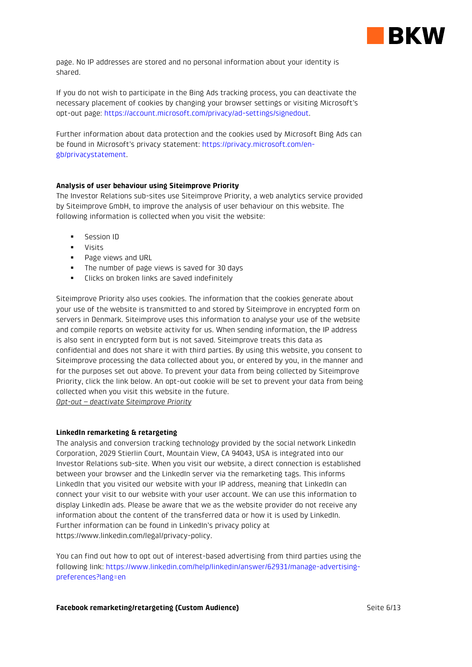

page. No IP addresses are stored and no personal information about your identity is shared.

If you do not wish to participate in the Bing Ads tracking process, you can deactivate the necessary placement of cookies by changing your browser settings or visiting Microsoft's opt-out page: https://account.microsoft.com/privacy/ad-settings/signedout.

Further information about data protection and the cookies used by Microsoft Bing Ads can be found in Microsoft's privacy statement: https://privacy.microsoft.com/engb/privacystatement.

# Analysis of user behaviour using Siteimprove Priority

The Investor Relations sub-sites use Siteimprove Priority, a web analytics service provided by Siteimprove GmbH, to improve the analysis of user behaviour on this website. The following information is collected when you visit the website:

- **Session ID**
- **visits**
- **Page views and URL**
- The number of page views is saved for 30 days
- **EXECUTE:** Clicks on broken links are saved indefinitely

Siteimprove Priority also uses cookies. The information that the cookies generate about your use of the website is transmitted to and stored by Siteimprove in encrypted form on servers in Denmark. Siteimprove uses this information to analyse your use of the website and compile reports on website activity for us. When sending information, the IP address is also sent in encrypted form but is not saved. Siteimprove treats this data as confidential and does not share it with third parties. By using this website, you consent to Siteimprove processing the data collected about you, or entered by you, in the manner and for the purposes set out above. To prevent your data from being collected by Siteimprove Priority, click the link below. An opt-out cookie will be set to prevent your data from being collected when you visit this website in the future.

Opt-out – deactivate Siteimprove Priority

# LinkedIn remarketing & retargeting

The analysis and conversion tracking technology provided by the social network LinkedIn Corporation, 2029 Stierlin Court, Mountain View, CA 94043, USA is integrated into our Investor Relations sub-site. When you visit our website, a direct connection is established between your browser and the LinkedIn server via the remarketing tags. This informs LinkedIn that you visited our website with your IP address, meaning that LinkedIn can connect your visit to our website with your user account. We can use this information to display LinkedIn ads. Please be aware that we as the website provider do not receive any information about the content of the transferred data or how it is used by LinkedIn. Further information can be found in LinkedIn's privacy policy at https://www.linkedin.com/legal/privacy-policy.

You can find out how to opt out of interest-based advertising from third parties using the following link: https://www.linkedin.com/help/linkedin/answer/62931/manage-advertisingpreferences?lang=en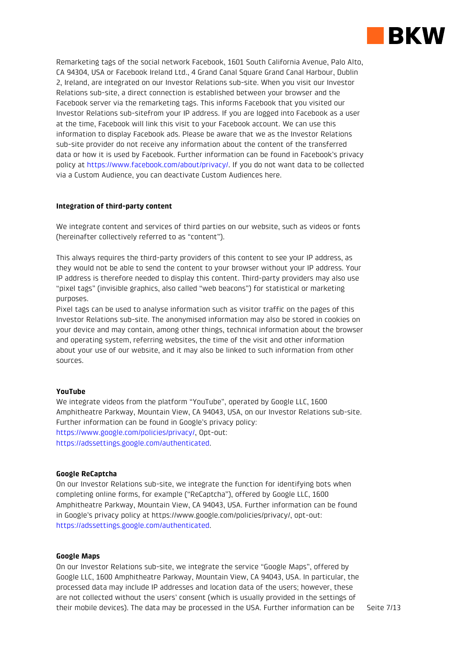

Remarketing tags of the social network Facebook, 1601 South California Avenue, Palo Alto, CA 94304, USA or Facebook Ireland Ltd., 4 Grand Canal Square Grand Canal Harbour, Dublin 2, Ireland, are integrated on our Investor Relations sub-site. When you visit our Investor Relations sub-site, a direct connection is established between your browser and the Facebook server via the remarketing tags. This informs Facebook that you visited our Investor Relations sub-sitefrom your IP address. If you are logged into Facebook as a user at the time, Facebook will link this visit to your Facebook account. We can use this information to display Facebook ads. Please be aware that we as the Investor Relations sub-site provider do not receive any information about the content of the transferred data or how it is used by Facebook. Further information can be found in Facebook's privacy policy at https://www.facebook.com/about/privacy/. If you do not want data to be collected via a Custom Audience, you can deactivate Custom Audiences here.

# Integration of third-party content

We integrate content and services of third parties on our website, such as videos or fonts (hereinafter collectively referred to as "content").

This always requires the third-party providers of this content to see your IP address, as they would not be able to send the content to your browser without your IP address. Your IP address is therefore needed to display this content. Third-party providers may also use "pixel tags" (invisible graphics, also called "web beacons") for statistical or marketing purposes.

Pixel tags can be used to analyse information such as visitor traffic on the pages of this Investor Relations sub-site. The anonymised information may also be stored in cookies on your device and may contain, among other things, technical information about the browser and operating system, referring websites, the time of the visit and other information about your use of our website, and it may also be linked to such information from other sources.

# YouTube

We integrate videos from the platform "YouTube", operated by Google LLC, 1600 Amphitheatre Parkway, Mountain View, CA 94043, USA, on our Investor Relations sub-site. Further information can be found in Google's privacy policy: https://www.google.com/policies/privacy/, Opt-out: https://adssettings.google.com/authenticated.

# Google ReCaptcha

On our Investor Relations sub-site, we integrate the function for identifying bots when completing online forms, for example ("ReCaptcha"), offered by Google LLC, 1600 Amphitheatre Parkway, Mountain View, CA 94043, USA. Further information can be found in Google's privacy policy at https://www.google.com/policies/privacy/, opt-out: https://adssettings.google.com/authenticated.

# Google Maps

On our Investor Relations sub-site, we integrate the service "Google Maps", offered by Google LLC, 1600 Amphitheatre Parkway, Mountain View, CA 94043, USA. In particular, the processed data may include IP addresses and location data of the users; however, these are not collected without the users' consent (which is usually provided in the settings of their mobile devices). The data may be processed in the USA. Further information can be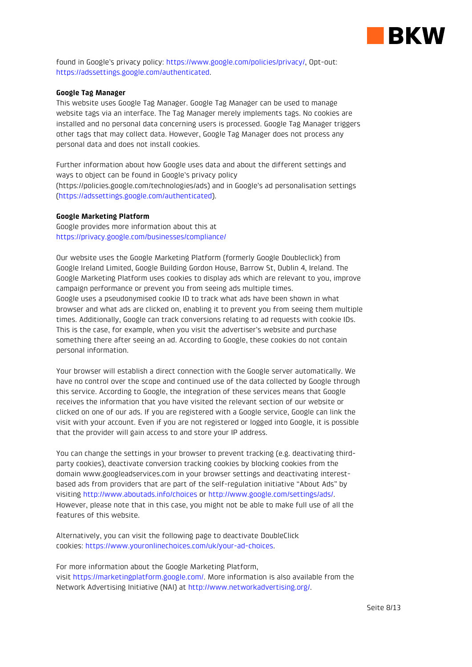

found in Google's privacy policy: https://www.google.com/policies/privacy/, Opt-out: https://adssettings.google.com/authenticated.

## Google Tag Manager

This website uses Google Tag Manager. Google Tag Manager can be used to manage website tags via an interface. The Tag Manager merely implements tags. No cookies are installed and no personal data concerning users is processed. Google Tag Manager triggers other tags that may collect data. However, Google Tag Manager does not process any personal data and does not install cookies.

Further information about how Google uses data and about the different settings and ways to object can be found in Google's privacy policy (https://policies.google.com/technologies/ads) and in Google's ad personalisation settings (https://adssettings.google.com/authenticated).

## Google Marketing Platform

Google provides more information about this at https://privacy.google.com/businesses/compliance/

Our website uses the Google Marketing Platform (formerly Google Doubleclick) from Google Ireland Limited, Google Building Gordon House, Barrow St, Dublin 4, Ireland. The Google Marketing Platform uses cookies to display ads which are relevant to you, improve campaign performance or prevent you from seeing ads multiple times. Google uses a pseudonymised cookie ID to track what ads have been shown in what browser and what ads are clicked on, enabling it to prevent you from seeing them multiple times. Additionally, Google can track conversions relating to ad requests with cookie IDs. This is the case, for example, when you visit the advertiser's website and purchase something there after seeing an ad. According to Google, these cookies do not contain personal information.

Your browser will establish a direct connection with the Google server automatically. We have no control over the scope and continued use of the data collected by Google through this service. According to Google, the integration of these services means that Google receives the information that you have visited the relevant section of our website or clicked on one of our ads. If you are registered with a Google service, Google can link the visit with your account. Even if you are not registered or logged into Google, it is possible that the provider will gain access to and store your IP address.

You can change the settings in your browser to prevent tracking (e.g. deactivating thirdparty cookies), deactivate conversion tracking cookies by blocking cookies from the domain www.googleadservices.com in your browser settings and deactivating interestbased ads from providers that are part of the self-regulation initiative "About Ads" by visiting http://www.aboutads.info/choices or http://www.google.com/settings/ads/. However, please note that in this case, you might not be able to make full use of all the features of this website.

Alternatively, you can visit the following page to deactivate DoubleClick cookies: https://www.youronlinechoices.com/uk/your-ad-choices.

For more information about the Google Marketing Platform, visit https://marketingplatform.google.com/. More information is also available from the Network Advertising Initiative (NAI) at http://www.networkadvertising.org/.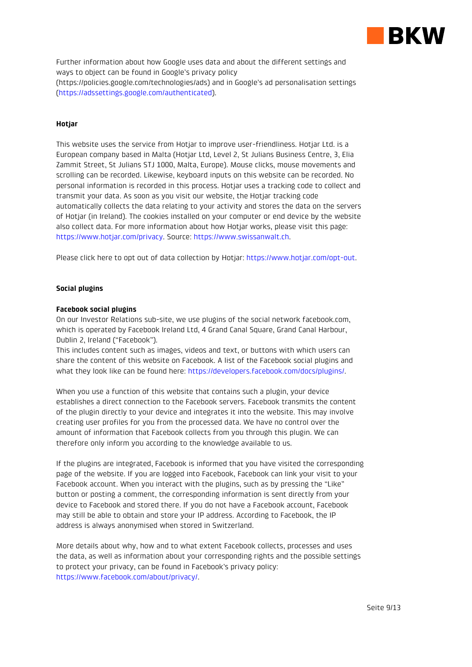

Further information about how Google uses data and about the different settings and ways to object can be found in Google's privacy policy (https://policies.google.com/technologies/ads) and in Google's ad personalisation settings (https://adssettings.google.com/authenticated).

# Hotjar

This website uses the service from Hotiar to improve user-friendliness. Hotiar Ltd. is a European company based in Malta (Hotjar Ltd, Level 2, St Julians Business Centre, 3, Elia Zammit Street, St Julians STJ 1000, Malta, Europe). Mouse clicks, mouse movements and scrolling can be recorded. Likewise, keyboard inputs on this website can be recorded. No personal information is recorded in this process. Hotjar uses a tracking code to collect and transmit your data. As soon as you visit our website, the Hotjar tracking code automatically collects the data relating to your activity and stores the data on the servers of Hotjar (in Ireland). The cookies installed on your computer or end device by the website also collect data. For more information about how Hotjar works, please visit this page: https://www.hotjar.com/privacy. Source: https://www.swissanwalt.ch.

Please click here to opt out of data collection by Hotjar: https://www.hotjar.com/opt-out.

## Social plugins

## Facebook social plugins

On our Investor Relations sub-site, we use plugins of the social network facebook.com, which is operated by Facebook Ireland Ltd, 4 Grand Canal Square, Grand Canal Harbour, Dublin 2, Ireland ("Facebook").

This includes content such as images, videos and text, or buttons with which users can share the content of this website on Facebook. A list of the Facebook social plugins and what they look like can be found here: https://developers.facebook.com/docs/plugins/.

When you use a function of this website that contains such a plugin, your device establishes a direct connection to the Facebook servers. Facebook transmits the content of the plugin directly to your device and integrates it into the website. This may involve creating user profiles for you from the processed data. We have no control over the amount of information that Facebook collects from you through this plugin. We can therefore only inform you according to the knowledge available to us.

If the plugins are integrated, Facebook is informed that you have visited the corresponding page of the website. If you are logged into Facebook, Facebook can link your visit to your Facebook account. When you interact with the plugins, such as by pressing the "Like" button or posting a comment, the corresponding information is sent directly from your device to Facebook and stored there. If you do not have a Facebook account, Facebook may still be able to obtain and store your IP address. According to Facebook, the IP address is always anonymised when stored in Switzerland.

More details about why, how and to what extent Facebook collects, processes and uses the data, as well as information about your corresponding rights and the possible settings to protect your privacy, can be found in Facebook's privacy policy: https://www.facebook.com/about/privacy/.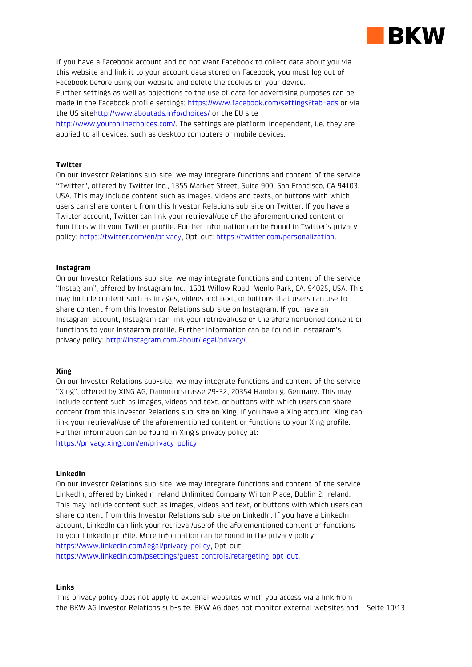

If you have a Facebook account and do not want Facebook to collect data about you via this website and link it to your account data stored on Facebook, you must log out of Facebook before using our website and delete the cookies on your device. Further settings as well as objections to the use of data for advertising purposes can be made in the Facebook profile settings: https://www.facebook.com/settings?tab=ads or via the US sitehttp://www.aboutads.info/choices/ or the EU site

http://www.youronlinechoices.com/. The settings are platform-independent, i.e. they are applied to all devices, such as desktop computers or mobile devices.

# Twitter

On our Investor Relations sub-site, we may integrate functions and content of the service "Twitter", offered by Twitter Inc., 1355 Market Street, Suite 900, San Francisco, CA 94103, USA. This may include content such as images, videos and texts, or buttons with which users can share content from this Investor Relations sub-site on Twitter. If you have a Twitter account, Twitter can link your retrieval/use of the aforementioned content or functions with your Twitter profile. Further information can be found in Twitter's privacy policy: https://twitter.com/en/privacy, Opt-out: https://twitter.com/personalization.

## Instagram

On our Investor Relations sub-site, we may integrate functions and content of the service "Instagram", offered by Instagram Inc., 1601 Willow Road, Menlo Park, CA, 94025, USA. This may include content such as images, videos and text, or buttons that users can use to share content from this Investor Relations sub-site on Instagram. If you have an Instagram account, Instagram can link your retrieval/use of the aforementioned content or functions to your Instagram profile. Further information can be found in Instagram's privacy policy: http://instagram.com/about/legal/privacy/.

# Xing

On our Investor Relations sub-site, we may integrate functions and content of the service "Xing", offered by XING AG, Dammtorstrasse 29-32, 20354 Hamburg, Germany. This may include content such as images, videos and text, or buttons with which users can share content from this Investor Relations sub-site on Xing. If you have a Xing account, Xing can link your retrieval/use of the aforementioned content or functions to your Xing profile. Further information can be found in Xing's privacy policy at: https://privacy.xing.com/en/privacy-policy.

## LinkedIn

On our Investor Relations sub-site, we may integrate functions and content of the service LinkedIn, offered by LinkedIn Ireland Unlimited Company Wilton Place, Dublin 2, Ireland. This may include content such as images, videos and text, or buttons with which users can share content from this Investor Relations sub-site on LinkedIn. If you have a LinkedIn account, LinkedIn can link your retrieval/use of the aforementioned content or functions to your LinkedIn profile. More information can be found in the privacy policy: https://www.linkedin.com/legal/privacy-policy, Opt-out: https://www.linkedin.com/psettings/guest-controls/retargeting-opt-out.

#### Links

the BKW AG Investor Relations sub-site. BKW AG does not monitor external websites and Seite 10/13 This privacy policy does not apply to external websites which you access via a link from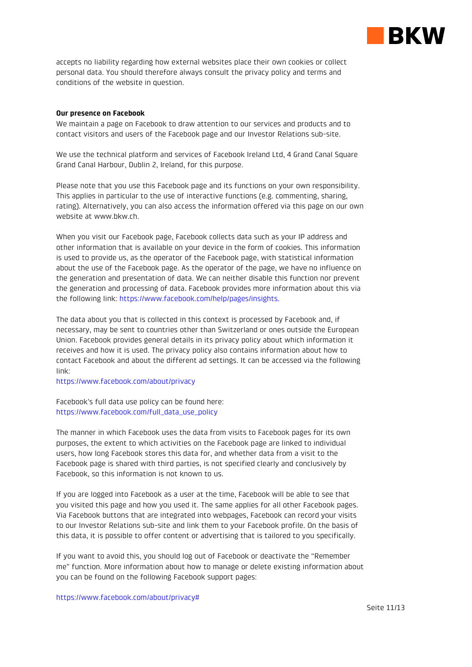

accepts no liability regarding how external websites place their own cookies or collect personal data. You should therefore always consult the privacy policy and terms and conditions of the website in question.

## Our presence on Facebook

We maintain a page on Facebook to draw attention to our services and products and to contact visitors and users of the Facebook page and our Investor Relations sub-site.

We use the technical platform and services of Facebook Ireland Ltd, 4 Grand Canal Square Grand Canal Harbour, Dublin 2, Ireland, for this purpose.

Please note that you use this Facebook page and its functions on your own responsibility. This applies in particular to the use of interactive functions (e.g. commenting, sharing, rating). Alternatively, you can also access the information offered via this page on our own website at www.bkw.ch.

When you visit our Facebook page, Facebook collects data such as your IP address and other information that is available on your device in the form of cookies. This information is used to provide us, as the operator of the Facebook page, with statistical information about the use of the Facebook page. As the operator of the page, we have no influence on the generation and presentation of data. We can neither disable this function nor prevent the generation and processing of data. Facebook provides more information about this via the following link: https://www.facebook.com/help/pages/insights.

The data about you that is collected in this context is processed by Facebook and, if necessary, may be sent to countries other than Switzerland or ones outside the European Union. Facebook provides general details in its privacy policy about which information it receives and how it is used. The privacy policy also contains information about how to contact Facebook and about the different ad settings. It can be accessed via the following link:

https://www.facebook.com/about/privacy

Facebook's full data use policy can be found here: https://www.facebook.com/full\_data\_use\_policy

The manner in which Facebook uses the data from visits to Facebook pages for its own purposes, the extent to which activities on the Facebook page are linked to individual users, how long Facebook stores this data for, and whether data from a visit to the Facebook page is shared with third parties, is not specified clearly and conclusively by Facebook, so this information is not known to us.

If you are logged into Facebook as a user at the time, Facebook will be able to see that you visited this page and how you used it. The same applies for all other Facebook pages. Via Facebook buttons that are integrated into webpages, Facebook can record your visits to our Investor Relations sub-site and link them to your Facebook profile. On the basis of this data, it is possible to offer content or advertising that is tailored to you specifically.

If you want to avoid this, you should log out of Facebook or deactivate the "Remember me" function. More information about how to manage or delete existing information about you can be found on the following Facebook support pages: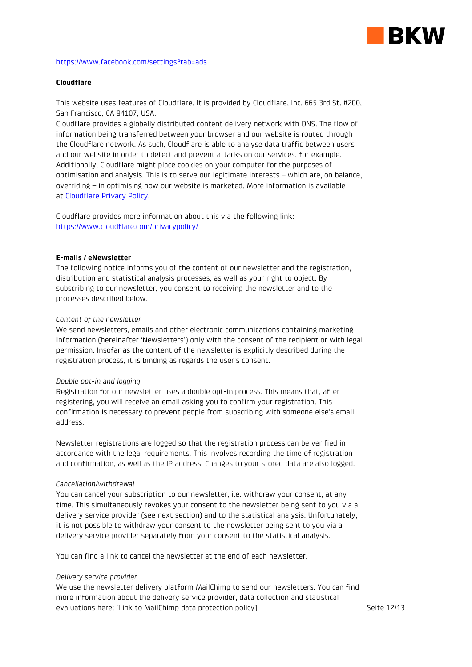

#### https://www.facebook.com/settings?tab=ads

# Cloudflare

This website uses features of Cloudflare. It is provided by Cloudflare, Inc. 665 3rd St. #200, San Francisco, CA 94107, USA.

Cloudflare provides a globally distributed content delivery network with DNS. The flow of information being transferred between your browser and our website is routed through the Cloudflare network. As such, Cloudflare is able to analyse data traffic between users and our website in order to detect and prevent attacks on our services, for example. Additionally, Cloudflare might place cookies on your computer for the purposes of optimisation and analysis. This is to serve our legitimate interests – which are, on balance, overriding – in optimising how our website is marketed. More information is available at Cloudflare Privacy Policy.

Cloudflare provides more information about this via the following link: https://www.cloudflare.com/privacypolicy/

#### E-mails / eNewsletter

The following notice informs you of the content of our newsletter and the registration, distribution and statistical analysis processes, as well as your right to object. By subscribing to our newsletter, you consent to receiving the newsletter and to the processes described below.

#### Content of the newsletter

We send newsletters, emails and other electronic communications containing marketing information (hereinafter 'Newsletters') only with the consent of the recipient or with legal permission. Insofar as the content of the newsletter is explicitly described during the registration process, it is binding as regards the user's consent.

#### Double opt-in and logging

Registration for our newsletter uses a double opt-in process. This means that, after registering, you will receive an email asking you to confirm your registration. This confirmation is necessary to prevent people from subscribing with someone else's email address.

Newsletter registrations are logged so that the registration process can be verified in accordance with the legal requirements. This involves recording the time of registration and confirmation, as well as the IP address. Changes to your stored data are also logged.

#### Cancellation/withdrawal

You can cancel your subscription to our newsletter, i.e. withdraw your consent, at any time. This simultaneously revokes your consent to the newsletter being sent to you via a delivery service provider (see next section) and to the statistical analysis. Unfortunately, it is not possible to withdraw your consent to the newsletter being sent to you via a delivery service provider separately from your consent to the statistical analysis.

You can find a link to cancel the newsletter at the end of each newsletter.

#### Delivery service provider

We use the newsletter delivery platform MailChimp to send our newsletters. You can find more information about the delivery service provider, data collection and statistical evaluations here: [Link to MailChimp data protection policy]